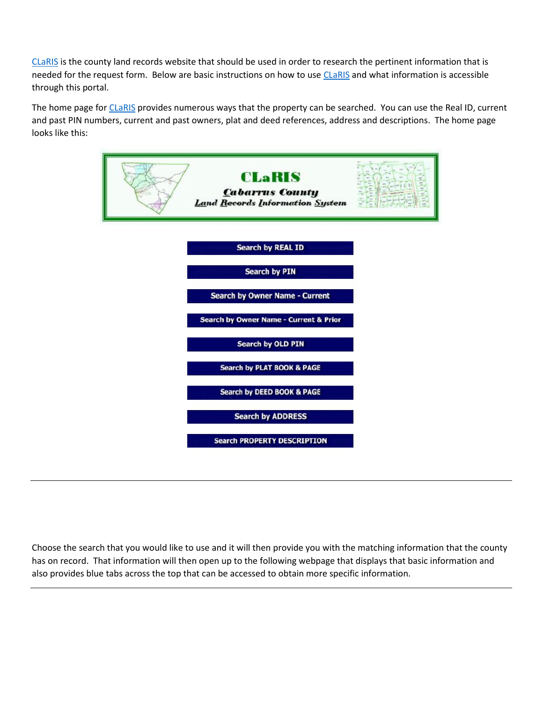[CLaRIS](https://apps.cabarruscounty.us/claris/) is the county land records website that should be used in order to research the pertinent information that is needed for the request form. Below are basic instructions on how to use [CLaRIS](https://apps.cabarruscounty.us/claris/) and what information is accessible through this portal.

The home page for [CLaRIS](https://apps.cabarruscounty.us/claris/search.aspx) provides numerous ways that the property can be searched. You can use the Real ID, current and past PIN numbers, current and past owners, plat and deed references, address and descriptions. The home page looks like this:



Choose the search that you would like to use and it will then provide you with the matching information that the county has on record. That information will then open up to the following webpage that displays that basic information and also provides blue tabs across the top that can be accessed to obtain more specific information.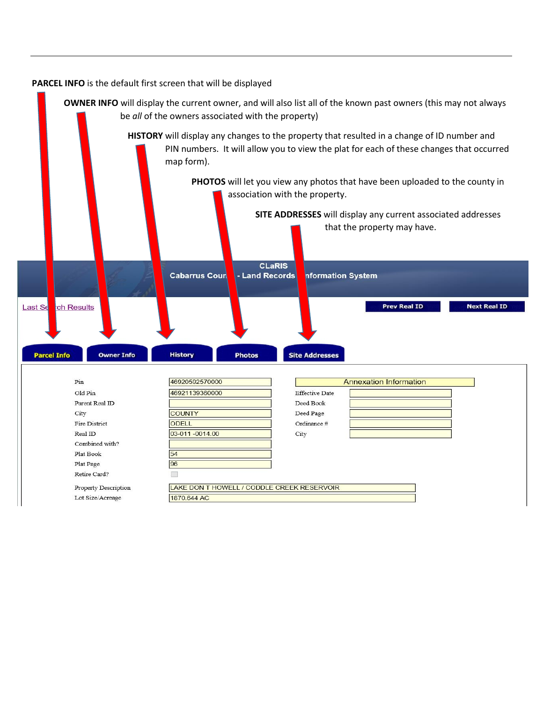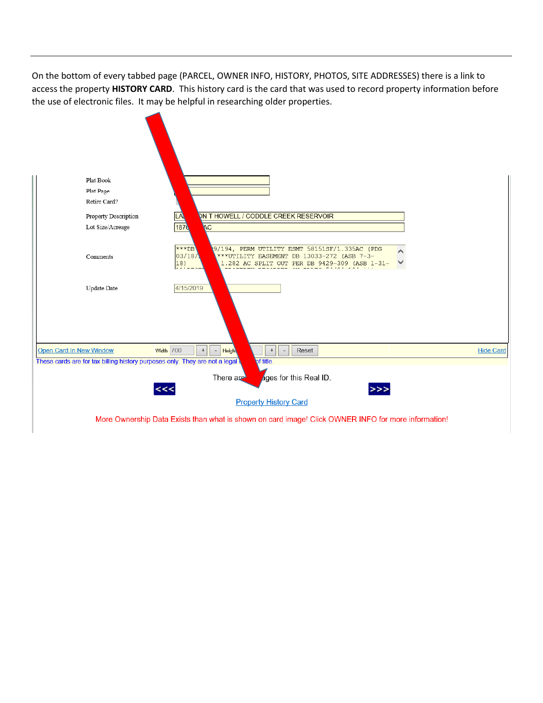On the bottom of every tabbed page (PARCEL, OWNER INFO, HISTORY, PHOTOS, SITE ADDRESSES) there is a link to access the property **HISTORY CARD**. This history card is the card that was used to record property information before the use of electronic files. It may be helpful in researching older properties.